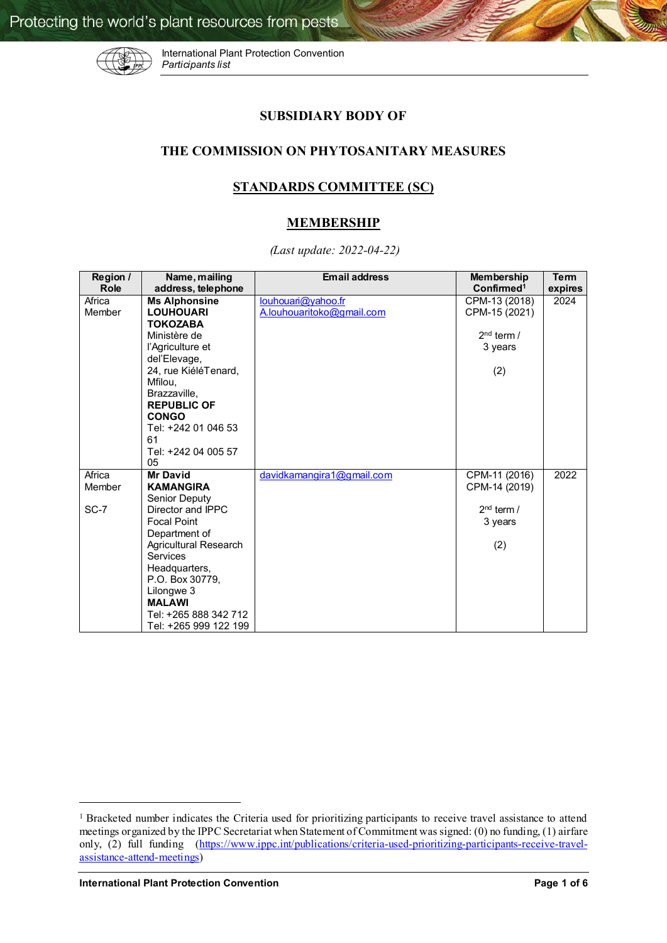

International Plant Protection Convention *Participants list*

## **SUBSIDIARY BODY OF**

## **THE COMMISSION ON PHYTOSANITARY MEASURES**

## **STANDARDS COMMITTEE (SC)**

## **MEMBERSHIP**

 *(Last update: 2022-04-22)* 

| Region / | Name, mailing         | <b>Email address</b>      | <b>Membership</b>      | <b>Term</b> |
|----------|-----------------------|---------------------------|------------------------|-------------|
| Role     | address, telephone    |                           | Confirmed <sup>1</sup> | expires     |
| Africa   | <b>Ms Alphonsine</b>  | louhouari@yahoo.fr        | CPM-13 (2018)          | 2024        |
| Member   | <b>LOUHOUARI</b>      | A.louhouaritoko@gmail.com | CPM-15 (2021)          |             |
|          | <b>TOKOZABA</b>       |                           |                        |             |
|          | Ministère de          |                           | $2nd$ term /           |             |
|          | l'Agriculture et      |                           | 3 years                |             |
|          | del'Elevage,          |                           |                        |             |
|          | 24, rue KiéléTenard,  |                           | (2)                    |             |
|          | Mfilou.               |                           |                        |             |
|          | Brazzaville,          |                           |                        |             |
|          | <b>REPUBLIC OF</b>    |                           |                        |             |
|          | <b>CONGO</b>          |                           |                        |             |
|          | Tel: +242 01 046 53   |                           |                        |             |
|          | 61                    |                           |                        |             |
|          | Tel: +242 04 005 57   |                           |                        |             |
|          | 05                    |                           |                        |             |
| Africa   | <b>Mr David</b>       | davidkamangira1@gmail.com | CPM-11 (2016)          | 2022        |
| Member   | <b>KAMANGIRA</b>      |                           | CPM-14 (2019)          |             |
|          | Senior Deputy         |                           |                        |             |
| $SC-7$   | Director and IPPC     |                           | $2nd$ term /           |             |
|          | <b>Focal Point</b>    |                           | 3 years                |             |
|          | Department of         |                           |                        |             |
|          | Agricultural Research |                           | (2)                    |             |
|          | <b>Services</b>       |                           |                        |             |
|          | Headquarters,         |                           |                        |             |
|          | P.O. Box 30779.       |                           |                        |             |
|          | Lilongwe 3            |                           |                        |             |
|          | <b>MALAWI</b>         |                           |                        |             |
|          | Tel: +265 888 342 712 |                           |                        |             |
|          | Tel: +265 999 122 199 |                           |                        |             |

 $\overline{a}$ 

<span id="page-0-0"></span><sup>&</sup>lt;sup>1</sup> Bracketed number indicates the Criteria used for prioritizing participants to receive travel assistance to attend meetings organized by the IPPC Secretariat when Statement of Commitment was signed: (0) no funding, (1) airfare only, (2) full funding [\(https://www.ippc.int/publications/criteria-used-prioritizing-participants-receive-travel](https://www.ippc.int/publications/criteria-used-prioritizing-participants-receive-travel-assistance-attend-meetings)[assistance-attend-meetings\)](https://www.ippc.int/publications/criteria-used-prioritizing-participants-receive-travel-assistance-attend-meetings)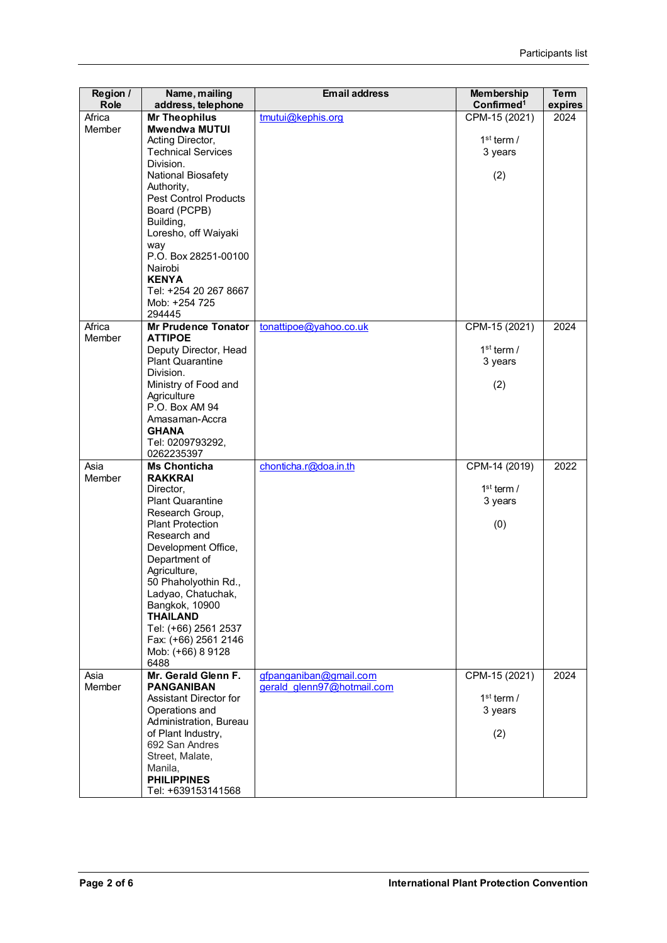| Region /<br>Role | Name, mailing<br>address, telephone              | <b>Email address</b>                                 | <b>Membership</b><br>Confirmed <sup>1</sup> | <b>Term</b><br>expires |
|------------------|--------------------------------------------------|------------------------------------------------------|---------------------------------------------|------------------------|
| Africa<br>Member | <b>Mr Theophilus</b><br><b>Mwendwa MUTUI</b>     | tmutui@kephis.org                                    | CPM-15 (2021)                               | 2024                   |
|                  | Acting Director,                                 |                                                      | $1st$ term /                                |                        |
|                  | <b>Technical Services</b><br>Division.           |                                                      | 3 years                                     |                        |
|                  | National Biosafety                               |                                                      | (2)                                         |                        |
|                  | Authority,<br><b>Pest Control Products</b>       |                                                      |                                             |                        |
|                  | Board (PCPB)                                     |                                                      |                                             |                        |
|                  | Building,<br>Loresho, off Waiyaki                |                                                      |                                             |                        |
|                  | way                                              |                                                      |                                             |                        |
|                  | P.O. Box 28251-00100<br>Nairobi                  |                                                      |                                             |                        |
|                  | <b>KENYA</b>                                     |                                                      |                                             |                        |
|                  | Tel: +254 20 267 8667<br>Mob: +254 725           |                                                      |                                             |                        |
| Africa           | 294445<br><b>Mr Prudence Tonator</b>             | tonattipoe@yahoo.co.uk                               | CPM-15 (2021)                               | 2024                   |
| Member           | <b>ATTIPOE</b>                                   |                                                      |                                             |                        |
|                  | Deputy Director, Head<br><b>Plant Quarantine</b> |                                                      | $1st$ term /<br>3 years                     |                        |
|                  | Division.                                        |                                                      |                                             |                        |
|                  | Ministry of Food and<br>Agriculture              |                                                      | (2)                                         |                        |
|                  | P.O. Box AM 94                                   |                                                      |                                             |                        |
|                  | Amasaman-Accra<br><b>GHANA</b>                   |                                                      |                                             |                        |
|                  | Tel: 0209793292,                                 |                                                      |                                             |                        |
| Asia             | 0262235397<br><b>Ms Chonticha</b>                | chonticha.r@doa.in.th                                | CPM-14 (2019)                               | 2022                   |
| Member           | <b>RAKKRAI</b>                                   |                                                      | $1st$ term /                                |                        |
|                  | Director,<br><b>Plant Quarantine</b>             |                                                      | 3 years                                     |                        |
|                  | Research Group,<br><b>Plant Protection</b>       |                                                      | (0)                                         |                        |
|                  | Research and                                     |                                                      |                                             |                        |
|                  | Development Office,<br>Department of             |                                                      |                                             |                        |
|                  | Agriculture,                                     |                                                      |                                             |                        |
|                  | 50 Phaholyothin Rd.,<br>Ladyao, Chatuchak,       |                                                      |                                             |                        |
|                  | Bangkok, 10900                                   |                                                      |                                             |                        |
|                  | <b>THAILAND</b><br>Tel: (+66) 2561 2537          |                                                      |                                             |                        |
|                  | Fax: (+66) 2561 2146<br>Mob: (+66) 8 9128        |                                                      |                                             |                        |
|                  | 6488                                             |                                                      |                                             |                        |
| Asia<br>Member   | Mr. Gerald Glenn F.<br><b>PANGANIBAN</b>         | gfpanganiban@gmail.com<br>gerald glenn97@hotmail.com | CPM-15 (2021)                               | 2024                   |
|                  | Assistant Director for                           |                                                      | $1st$ term /                                |                        |
|                  | Operations and<br>Administration, Bureau         |                                                      | 3 years                                     |                        |
|                  | of Plant Industry,                               |                                                      | (2)                                         |                        |
|                  | 692 San Andres<br>Street, Malate,                |                                                      |                                             |                        |
|                  | Manila,                                          |                                                      |                                             |                        |
|                  | <b>PHILIPPINES</b><br>Tel: +639153141568         |                                                      |                                             |                        |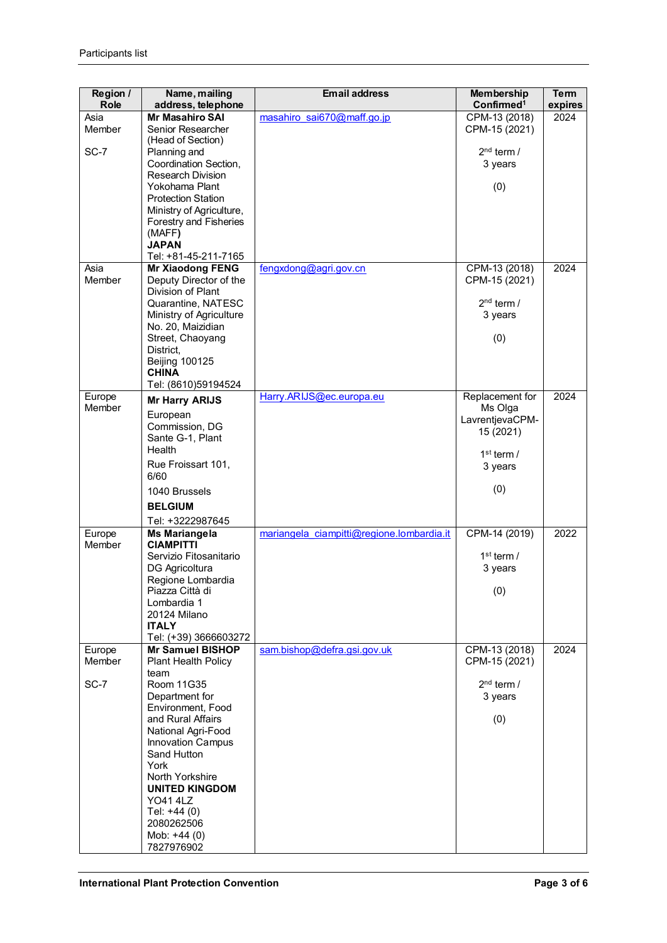| Region /<br><b>Role</b> | Name, mailing<br>address, telephone               | <b>Email address</b>                      | <b>Membership</b><br>Confirmed <sup>1</sup> | <b>Term</b><br>expires |
|-------------------------|---------------------------------------------------|-------------------------------------------|---------------------------------------------|------------------------|
| Asia                    | <b>Mr Masahiro SAI</b>                            | masahiro sai670@maff.go.jp                | CPM-13 (2018)                               | 2024                   |
| Member                  | Senior Researcher                                 |                                           | CPM-15 (2021)                               |                        |
|                         | (Head of Section)                                 |                                           |                                             |                        |
| SC-7                    | Planning and                                      |                                           | $2nd$ term /                                |                        |
|                         | Coordination Section,<br><b>Research Division</b> |                                           | 3 years                                     |                        |
|                         | Yokohama Plant                                    |                                           | (0)                                         |                        |
|                         | <b>Protection Station</b>                         |                                           |                                             |                        |
|                         | Ministry of Agriculture,                          |                                           |                                             |                        |
|                         | Forestry and Fisheries                            |                                           |                                             |                        |
|                         | (MAFF)                                            |                                           |                                             |                        |
|                         | <b>JAPAN</b><br>Tel: +81-45-211-7165              |                                           |                                             |                        |
| Asia                    | <b>Mr Xiaodong FENG</b>                           | fengxdong@agri.gov.cn                     | CPM-13 (2018)                               | 2024                   |
| Member                  | Deputy Director of the                            |                                           | CPM-15 (2021)                               |                        |
|                         | Division of Plant                                 |                                           |                                             |                        |
|                         | Quarantine, NATESC                                |                                           | $2nd$ term /                                |                        |
|                         | Ministry of Agriculture                           |                                           | 3 years                                     |                        |
|                         | No. 20, Maizidian<br>Street, Chaoyang             |                                           |                                             |                        |
|                         | District,                                         |                                           | (0)                                         |                        |
|                         | <b>Beijing 100125</b>                             |                                           |                                             |                        |
|                         | <b>CHINA</b>                                      |                                           |                                             |                        |
|                         | Tel: (8610)59194524                               |                                           |                                             |                        |
| Europe                  | <b>Mr Harry ARIJS</b>                             | Harry.ARIJS@ec.europa.eu                  | Replacement for                             | 2024                   |
| <b>Member</b>           | European                                          |                                           | Ms Olga<br>LavrentjevaCPM-                  |                        |
|                         | Commission, DG                                    |                                           | 15 (2021)                                   |                        |
|                         | Sante G-1, Plant                                  |                                           |                                             |                        |
|                         | Health                                            |                                           | $1st$ term /                                |                        |
|                         | Rue Froissart 101,                                |                                           | 3 years                                     |                        |
|                         | 6/60<br>1040 Brussels                             |                                           | (0)                                         |                        |
|                         | <b>BELGIUM</b>                                    |                                           |                                             |                        |
|                         | Tel: +3222987645                                  |                                           |                                             |                        |
| Europe                  | <b>Ms Mariangela</b>                              | mariangela ciampitti@regione.lombardia.it | CPM-14 (2019)                               | 2022                   |
| Member                  | <b>CIAMPITTI</b>                                  |                                           |                                             |                        |
|                         | Servizio Fitosanitario                            |                                           | $1st$ term /                                |                        |
|                         | DG Agricoltura                                    |                                           | 3 years                                     |                        |
|                         | Regione Lombardia                                 |                                           |                                             |                        |
|                         | Piazza Città di<br>Lombardia 1                    |                                           | (0)                                         |                        |
|                         | 20124 Milano                                      |                                           |                                             |                        |
|                         | <b>ITALY</b>                                      |                                           |                                             |                        |
|                         | Tel: (+39) 3666603272                             |                                           |                                             |                        |
| Europe                  | Mr Samuel BISHOP                                  | sam.bishop@defra.gsi.gov.uk               | CPM-13 (2018)                               | 2024                   |
| Member                  | Plant Health Policy<br>team                       |                                           | CPM-15 (2021)                               |                        |
| SC-7                    | Room 11G35                                        |                                           | $2nd$ term /                                |                        |
|                         | Department for                                    |                                           | 3 years                                     |                        |
|                         | Environment, Food                                 |                                           |                                             |                        |
|                         | and Rural Affairs                                 |                                           | (0)                                         |                        |
|                         | National Agri-Food                                |                                           |                                             |                        |
|                         | <b>Innovation Campus</b><br>Sand Hutton           |                                           |                                             |                        |
|                         | York                                              |                                           |                                             |                        |
|                         | North Yorkshire                                   |                                           |                                             |                        |
|                         | <b>UNITED KINGDOM</b>                             |                                           |                                             |                        |
|                         | <b>YO41 4LZ</b>                                   |                                           |                                             |                        |
|                         | Tel: +44 (0)                                      |                                           |                                             |                        |
|                         | 2080262506<br>Mob: $+44(0)$                       |                                           |                                             |                        |
|                         | 7827976902                                        |                                           |                                             |                        |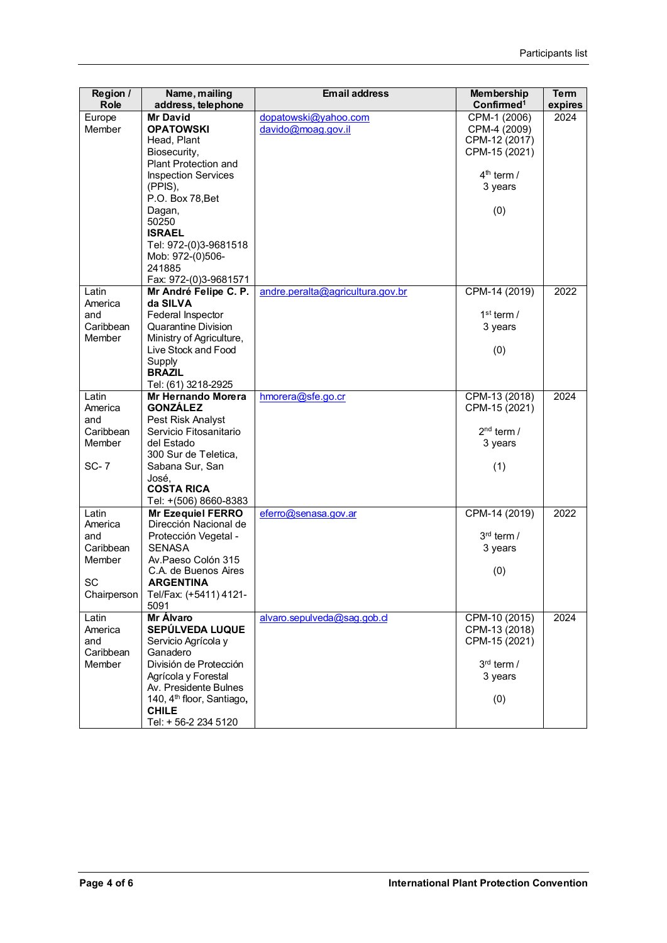| Region /<br><b>Role</b> | Name, mailing<br>address, telephone          | <b>Email address</b>             | <b>Membership</b><br>Confirmed <sup>1</sup> | <b>Term</b><br>expires |
|-------------------------|----------------------------------------------|----------------------------------|---------------------------------------------|------------------------|
| Europe                  | <b>Mr David</b>                              | dopatowski@yahoo.com             | CPM-1 (2006)                                | 2024                   |
| Member                  | <b>OPATOWSKI</b>                             | davido@moag.gov.il               | CPM-4 (2009)                                |                        |
|                         | Head, Plant                                  |                                  | CPM-12 (2017)                               |                        |
|                         | Biosecurity,                                 |                                  | CPM-15 (2021)                               |                        |
|                         | Plant Protection and                         |                                  |                                             |                        |
|                         | <b>Inspection Services</b>                   |                                  | $4th$ term /                                |                        |
|                         | (PPIS),                                      |                                  | 3 years                                     |                        |
|                         | P.O. Box 78, Bet                             |                                  |                                             |                        |
|                         | Dagan,                                       |                                  | (0)                                         |                        |
|                         | 50250                                        |                                  |                                             |                        |
|                         | <b>ISRAEL</b>                                |                                  |                                             |                        |
|                         | Tel: 972-(0)3-9681518                        |                                  |                                             |                        |
|                         | Mob: 972-(0)506-                             |                                  |                                             |                        |
|                         | 241885                                       |                                  |                                             |                        |
|                         | Fax: 972-(0)3-9681571                        |                                  |                                             |                        |
| Latin                   | Mr André Felipe C. P.                        | andre.peralta@agricultura.gov.br | CPM-14 (2019)                               | 2022                   |
| America                 | da SILVA                                     |                                  |                                             |                        |
| and                     | Federal Inspector                            |                                  | $1st$ term /                                |                        |
| Caribbean               | <b>Quarantine Division</b>                   |                                  | 3 years                                     |                        |
| Member                  | Ministry of Agriculture,                     |                                  |                                             |                        |
|                         | Live Stock and Food                          |                                  | (0)                                         |                        |
|                         | Supply                                       |                                  |                                             |                        |
|                         | <b>BRAZIL</b>                                |                                  |                                             |                        |
|                         | Tel: (61) 3218-2925                          |                                  |                                             |                        |
| Latin<br>America        | <b>Mr Hernando Morera</b><br><b>GONZALEZ</b> | hmorera@sfe.go.cr                | CPM-13 (2018)                               | 2024                   |
| and                     | Pest Risk Analyst                            |                                  | CPM-15 (2021)                               |                        |
| Caribbean               | Servicio Fitosanitario                       |                                  | $2nd$ term /                                |                        |
| Member                  | del Estado                                   |                                  | 3 years                                     |                        |
|                         | 300 Sur de Teletica,                         |                                  |                                             |                        |
| <b>SC-7</b>             | Sabana Sur, San                              |                                  | (1)                                         |                        |
|                         | José,                                        |                                  |                                             |                        |
|                         | <b>COSTA RICA</b>                            |                                  |                                             |                        |
|                         | Tel: +(506) 8660-8383                        |                                  |                                             |                        |
| Latin                   | Mr Ezequiel FERRO                            | eferro@senasa.gov.ar             | CPM-14 (2019)                               | 2022                   |
| America                 | Dirección Nacional de                        |                                  |                                             |                        |
| and                     | Protección Vegetal -                         |                                  | $3rd$ term /                                |                        |
| Caribbean               | <b>SENASA</b>                                |                                  | 3 years                                     |                        |
| Member                  | Av.Paeso Colón 315                           |                                  |                                             |                        |
|                         | C.A. de Buenos Aires                         |                                  | (0)                                         |                        |
| SC                      | <b>ARGENTINA</b>                             |                                  |                                             |                        |
| Chairperson             | Tel/Fax: (+5411) 4121-                       |                                  |                                             |                        |
|                         | 5091                                         |                                  |                                             |                        |
| Latin                   | Mr Álvaro                                    | alvaro.sepulveda@sag.gob.cl      | CPM-10 (2015)                               | 2024                   |
| America                 | SEPÚLVEDA LUQUE                              |                                  | CPM-13 (2018)                               |                        |
| and                     | Servicio Agrícola y                          |                                  | CPM-15 (2021)                               |                        |
| Caribbean               | Ganadero                                     |                                  |                                             |                        |
| Member                  | División de Protección                       |                                  | $3rd$ term /                                |                        |
|                         | Agrícola y Forestal                          |                                  | 3 years                                     |                        |
|                         | Av. Presidente Bulnes                        |                                  |                                             |                        |
|                         | 140, 4 <sup>th</sup> floor, Santiago,        |                                  | (0)                                         |                        |
|                         | <b>CHILE</b>                                 |                                  |                                             |                        |
|                         | Tel: + 56-2 234 5120                         |                                  |                                             |                        |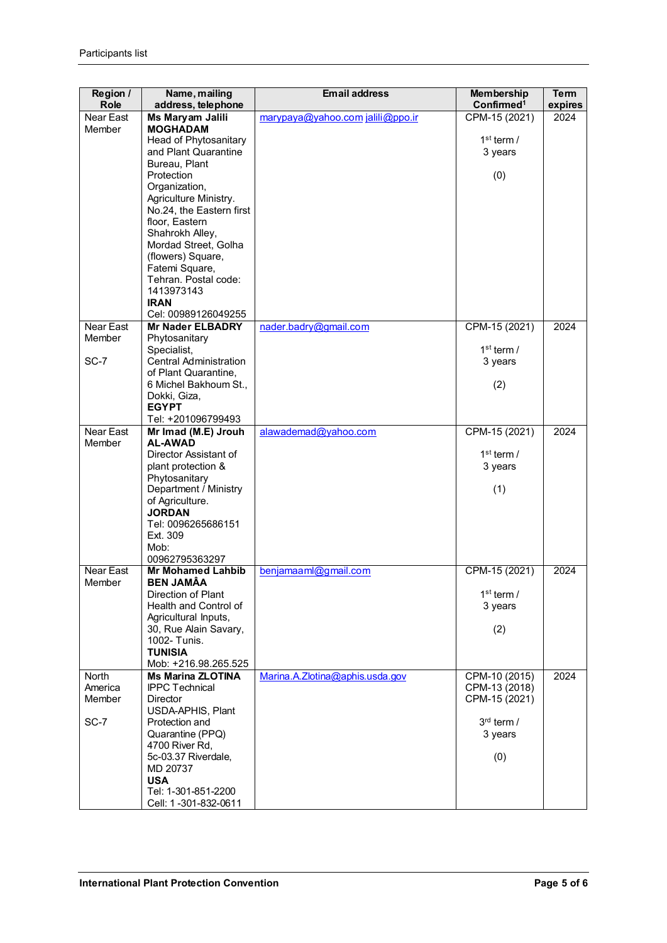| Region /<br><b>Role</b> | Name, mailing<br>address, telephone               | <b>Email address</b>             | <b>Membership</b><br>Confirmed <sup>1</sup> | <b>Term</b><br>expires |
|-------------------------|---------------------------------------------------|----------------------------------|---------------------------------------------|------------------------|
| Near East               | Ms Maryam Jalili                                  | marypaya@yahoo.com jalili@ppo.ir | CPM-15 (2021)                               | 2024                   |
| Member                  | <b>MOGHADAM</b>                                   |                                  |                                             |                        |
|                         | Head of Phytosanitary                             |                                  | $1st$ term /                                |                        |
|                         | and Plant Quarantine                              |                                  | 3 years                                     |                        |
|                         | Bureau, Plant                                     |                                  |                                             |                        |
|                         | Protection                                        |                                  | (0)                                         |                        |
|                         | Organization,                                     |                                  |                                             |                        |
|                         | Agriculture Ministry.<br>No.24, the Eastern first |                                  |                                             |                        |
|                         | floor, Eastern                                    |                                  |                                             |                        |
|                         | Shahrokh Alley,                                   |                                  |                                             |                        |
|                         | Mordad Street, Golha                              |                                  |                                             |                        |
|                         | (flowers) Square,                                 |                                  |                                             |                        |
|                         | Fatemi Square,                                    |                                  |                                             |                        |
|                         | Tehran. Postal code:                              |                                  |                                             |                        |
|                         | 1413973143                                        |                                  |                                             |                        |
|                         | <b>IRAN</b>                                       |                                  |                                             |                        |
|                         | Cel: 00989126049255                               |                                  |                                             |                        |
| Near East<br>Member     | <b>Mr Nader ELBADRY</b><br>Phytosanitary          | nader.badry@gmail.com            | CPM-15 (2021)                               | 2024                   |
|                         | Specialist,                                       |                                  | $1st$ term /                                |                        |
| SC-7                    | <b>Central Administration</b>                     |                                  | 3 years                                     |                        |
|                         | of Plant Quarantine,                              |                                  |                                             |                        |
|                         | 6 Michel Bakhoum St.,                             |                                  | (2)                                         |                        |
|                         | Dokki, Giza,                                      |                                  |                                             |                        |
|                         | <b>EGYPT</b>                                      |                                  |                                             |                        |
|                         | Tel: +201096799493                                |                                  |                                             |                        |
| Near East<br>Member     | Mr Imad (M.E) Jrouh<br><b>AL-AWAD</b>             | alawademad@yahoo.com             | CPM-15 (2021)                               | 2024                   |
|                         | Director Assistant of                             |                                  | $1st$ term /                                |                        |
|                         | plant protection &                                |                                  | 3 years                                     |                        |
|                         | Phytosanitary                                     |                                  |                                             |                        |
|                         | Department / Ministry                             |                                  | (1)                                         |                        |
|                         | of Agriculture.                                   |                                  |                                             |                        |
|                         | <b>JORDAN</b>                                     |                                  |                                             |                        |
|                         | Tel: 0096265686151                                |                                  |                                             |                        |
|                         | Ext. 309<br>Mob:                                  |                                  |                                             |                        |
|                         | 00962795363297                                    |                                  |                                             |                        |
| Near East               | <b>Mr Mohamed Lahbib</b>                          | benjamaaml@gmail.com             | CPM-15 (2021)                               | 2024                   |
| Member                  | <b>BEN JAMÂA</b>                                  |                                  |                                             |                        |
|                         | Direction of Plant                                |                                  | $1st$ term /                                |                        |
|                         | Health and Control of                             |                                  | 3 years                                     |                        |
|                         | Agricultural Inputs,                              |                                  |                                             |                        |
|                         | 30, Rue Alain Savary,                             |                                  | (2)                                         |                        |
|                         | 1002- Tunis.                                      |                                  |                                             |                        |
|                         | <b>TUNISIA</b><br>Mob: +216.98.265.525            |                                  |                                             |                        |
| North                   | <b>Ms Marina ZLOTINA</b>                          | Marina.A.Zlotina@aphis.usda.gov  | CPM-10 (2015)                               | 2024                   |
| America                 | <b>IPPC Technical</b>                             |                                  | CPM-13 (2018)                               |                        |
| Member                  | <b>Director</b>                                   |                                  | CPM-15 (2021)                               |                        |
|                         | USDA-APHIS, Plant                                 |                                  |                                             |                        |
| SC-7                    | Protection and                                    |                                  | $3rd$ term /                                |                        |
|                         | Quarantine (PPQ)                                  |                                  | 3 years                                     |                        |
|                         | 4700 River Rd,                                    |                                  |                                             |                        |
|                         | 5c-03.37 Riverdale,<br>MD 20737                   |                                  | (0)                                         |                        |
|                         | <b>USA</b>                                        |                                  |                                             |                        |
|                         | Tel: 1-301-851-2200                               |                                  |                                             |                        |
|                         | Cell: 1-301-832-0611                              |                                  |                                             |                        |